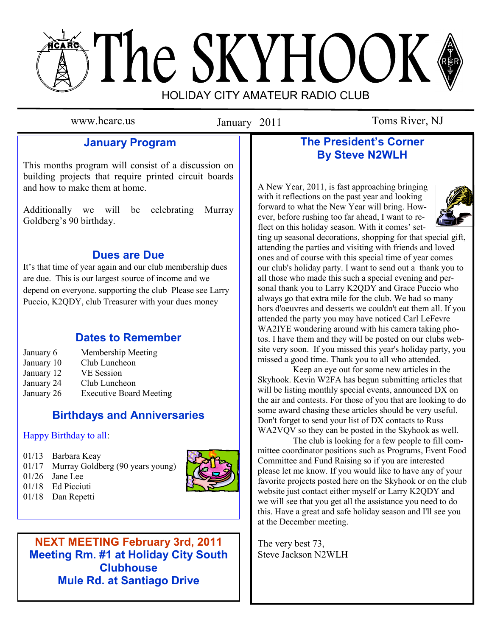# The SKYHOOK HOLIDAY CITY AMATEUR RADIO CLUB

January 2011

www.hcarc.us **Ianuary** 2011 Toms River, NJ

# **January Program**

This months program will consist of a discussion on building projects that require printed circuit boards and how to make them at home.

Additionally we will be celebrating Murray Goldberg's 90 birthday.

## **Dues are Due**

It's that time of year again and our club membership dues are due. This is our largest source of income and we depend on everyone. supporting the club Please see Larry Puccio, K2QDY, club Treasurer with your dues money

## **Dates to Remember**

- January 6 Membership Meeting
- January 10 Club Luncheon
- January 12 VE Session
- January 24 Club Luncheon
- January 26 Executive Board Meeting

## **Birthdays and Anniversaries**

## Happy Birthday to all:

- 01/13 Barbara Keay
- 01/17 Murray Goldberg (90 years young)
- 01/26 Jane Lee



01/18 Dan Repetti



## **NEXT MEETING February 3rd, 2011 Meeting Rm. #1 at Holiday City South Meeting Clubhouse Mule Rd. at Santiago Drive**

**Mule Rd. at Santiago Drive**

## **The President's Corner By Steve N2WLH**

A New Year, 2011, is fast approaching bringing with it reflections on the past year and looking forward to what the New Year will bring. However, before rushing too far ahead, I want to reflect on this holiday season. With it comes' set-



ting up seasonal decorations, shopping for that special gift, attending the parties and visiting with friends and loved ones and of course with this special time of year comes our club's holiday party. I want to send out a thank you to all those who made this such a special evening and personal thank you to Larry K2ODY and Grace Puccio who always go that extra mile for the club. We had so many hors d'oeuvres and desserts we couldn't eat them all. If you attended the party you may have noticed Carl LeFevre WA2IYE wondering around with his camera taking photos. I have them and they will be posted on our clubs website very soon. If you missed this year's holiday party, you missed a good time. Thank you to all who attended.

 Keep an eye out for some new articles in the Skyhook. Kevin W2FA has begun submitting articles that will be listing monthly special events, announced DX on the air and contests. For those of you that are looking to do some award chasing these articles should be very useful. Don't forget to send your list of DX contacts to Russ WA2VQV so they can be posted in the Skyhook as well.

 The club is looking for a few people to fill committee coordinator positions such as Programs, Event Food Committee and Fund Raising so if you are interested please let me know. If you would like to have any of your favorite projects posted here on the Skyhook or on the club website just contact either myself or Larry K2QDY and we will see that you get all the assistance you need to do this. Have a great and safe holiday season and I'll see you at the December meeting.

The very best 73, Steve Jackson N2WLH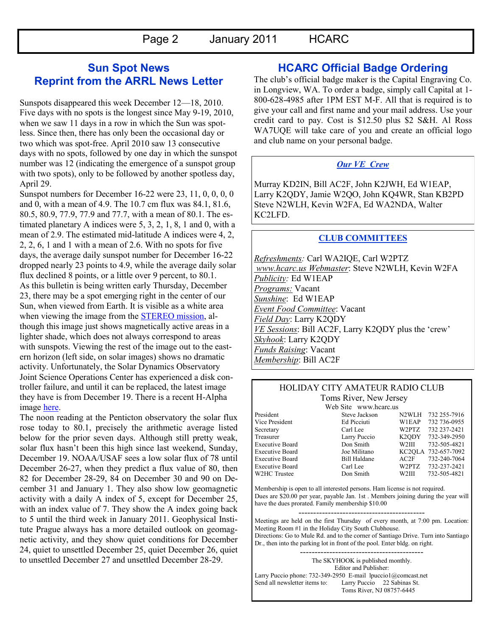## **Sun Spot News Reprint from the ARRL News Letter**

Sunspots disappeared this week December 12—18, 2010. Five days with no spots is the longest since May 9-19, 2010, when we saw 11 days in a row in which the Sun was spotless. Since then, there has only been the occasional day or two which was spot-free. April 2010 saw 13 consecutive days with no spots, followed by one day in which the sunspot number was 12 (indicating the emergence of a sunspot group with two spots), only to be followed by another spotless day, April 29.

Sunspot numbers for December 16-22 were 23, 11, 0, 0, 0, 0 and 0, with a mean of 4.9. The 10.7 cm flux was 84.1, 81.6, 80.5, 80.9, 77.9, 77.9 and 77.7, with a mean of 80.1. The estimated planetary A indices were 5, 3, 2, 1, 8, 1 and 0, with a mean of 2.9. The estimated mid-latitude A indices were 4, 2, 2, 2, 6, 1 and 1 with a mean of 2.6. With no spots for five days, the average daily sunspot number for December 16-22 dropped nearly 23 points to 4.9, while the average daily solar flux declined 8 points, or a little over 9 percent, to 80.1. As this bulletin is being written early Thursday, December 23, there may be a spot emerging right in the center of our Sun, when viewed from Earth. It is visible as a white area when viewing the image from the **STEREO** mission, although this image just shows magnetically active areas in a lighter shade, which does not always correspond to areas with sunspots. Viewing the rest of the image out to the eastern horizon (left side, on solar images) shows no dramatic activity. Unfortunately, the Solar Dynamics Observatory Joint Science Operations Center has experienced a disk controller failure, and until it can be replaced, the latest image they have is from December 19. There is a recent H-Alpha image [here.](http://www.solarmonitor.org/)

The noon reading at the Penticton observatory the solar flux rose today to 80.1, precisely the arithmetic average listed below for the prior seven days. Although still pretty weak, solar flux hasn't been this high since last weekend, Sunday, December 19. NOAA/USAF sees a low solar flux of 78 until December 26-27, when they predict a flux value of 80, then 82 for December 28-29, 84 on December 30 and 90 on December 31 and January 1. They also show low geomagnetic activity with a daily A index of 5, except for December 25, with an index value of 7. They show the A index going back to 5 until the third week in January 2011. Geophysical Institute Prague always has a more detailed outlook on geomagnetic activity, and they show quiet conditions for December 24, quiet to unsettled December 25, quiet December 26, quiet to unsettled December 27 and unsettled December 28-29.

### **HCARC Official Badge Ordering**

The club's official badge maker is the Capital Engraving Co. in Longview, WA. To order a badge, simply call Capital at 1- 800-628-4985 after 1PM EST M-F. All that is required is to give your call and first name and your mail address. Use your credit card to pay. Cost is \$12.50 plus \$2 S&H. Al Ross WA7UQE will take care of you and create an official logo and club name on your personal badge.

#### *Our VE Crew*

Murray KD2IN, Bill AC2F, John K2JWH, Ed W1EAP, Larry K2QDY, Jamie W2QO, John KQ4WR, Stan KB2PD Steve N2WLH, Kevin W2FA, Ed WA2NDA, Walter KC2LFD.

#### **CLUB COMMITTEES**

*Refreshments:* Carl WA2IQE, Carl W2PTZ *www.hcarc.us Webmaster*: Steve N2WLH, Kevin W2FA *Publicity:* Ed W1EAP *Programs:* Vacant *Sunshine*: Ed W1EAP *Event Food Committee*: Vacant *Field Day*: Larry K2QDY *VE Sessions*: Bill AC2F, Larry K2QDY plus the 'crew' *Skyhook*: Larry K2QDY *Funds Raising*: Vacant *Membership*: Bill AC2F

#### HOLIDAY CITY AMATEUR RADIO CLUB Toms River, New Jersey

Web Site www.hcarc.us President Steve Jackson N2WLH 732 255-7916 Vice President Ed Picciuti W1EAP 732 736-0955 Secretary Carl Lee W2PTZ 732 237-2421 Treasurer Larry Puccio K2QDY 732-349-2950 Executive Board Don Smith W2III 732-505-4821 Executive Board Joe Militano KC2QLA 732-657-7092 Executive Board Bill Haldane AC2F 732-240-7064 Executive Board Carl Lee W2PTZ 732-237-2421 W2HC Trustee  $\sim$  Don Smith W2III 732-505-4821

Membership is open to all interested persons. Ham license is not required. Dues are \$20.00 per year, payable Jan. 1st . Members joining during the year will have the dues prorated. Family membership \$10.00

------------------------------------------- Meetings are held on the first Thursday of every month, at 7:00 pm. Location: Meeting Room #1 in the Holiday City South Clubhouse. Directions: Go to Mule Rd. and to the corner of Santiago Drive. Turn into Santiago Dr., then into the parking lot in front of the pool. Enter bldg. on right.

The SKYHOOK is published monthly. Editor and Publisher: Larry Puccio phone: 732-349-2950 E-mail lpuccio1@comcast.net<br>Send all newsletter items to: Larry Puccio 22 Sabinas St. Larry Puccio 22 Sabinas St. Toms River, NJ 08757-6445

------------------------------------------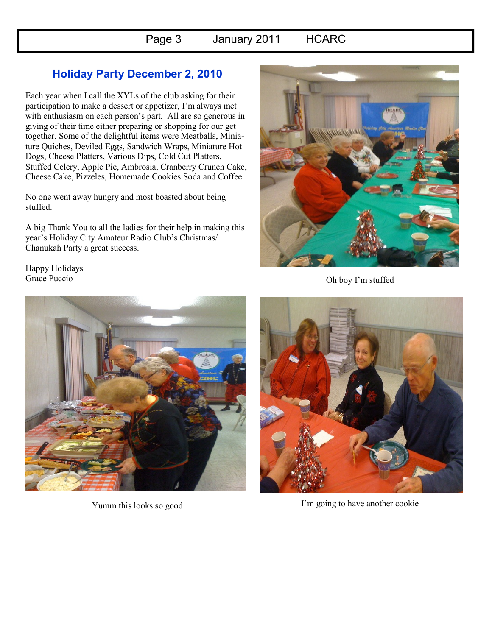# Page 3 January 2011 HCARC

## **Holiday Party December 2, 2010**

Each year when I call the XYLs of the club asking for their participation to make a dessert or appetizer, I'm always met with enthusiasm on each person's part. All are so generous in giving of their time either preparing or shopping for our get together. Some of the delightful items were Meatballs, Miniature Quiches, Deviled Eggs, Sandwich Wraps, Miniature Hot Dogs, Cheese Platters, Various Dips, Cold Cut Platters, Stuffed Celery, Apple Pie, Ambrosia, Cranberry Crunch Cake, Cheese Cake, Pizzeles, Homemade Cookies Soda and Coffee.

No one went away hungry and most boasted about being stuffed.

A big Thank You to all the ladies for their help in making this year's Holiday City Amateur Radio Club's Christmas/ Chanukah Party a great success.



Oh boy I'm stuffed

Happy Holidays Grace Puccio



Yumm this looks so good



I'm going to have another cookie